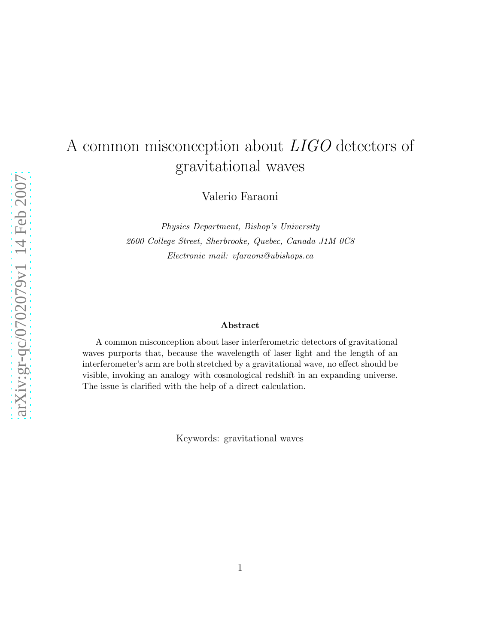# A common misconception about LIGO detectors of gravitational waves

Valerio Faraoni

*Physics Department, Bishop's University 2600 College Street, Sherbrooke, Quebec, Canada J1M 0C8 Electronic mail: vfaraoni@ubishops.ca*

#### Abstract

A common misconception about laser interferometric detectors of gravitational waves purports that, because the wavelength of laser light and the length of an interferometer's arm are both stretched by a gravitational wave, no effect should be visible, invoking an analogy with cosmological redshift in an expanding universe. The issue is clarified with the help of a direct calculation.

Keywords: gravitational waves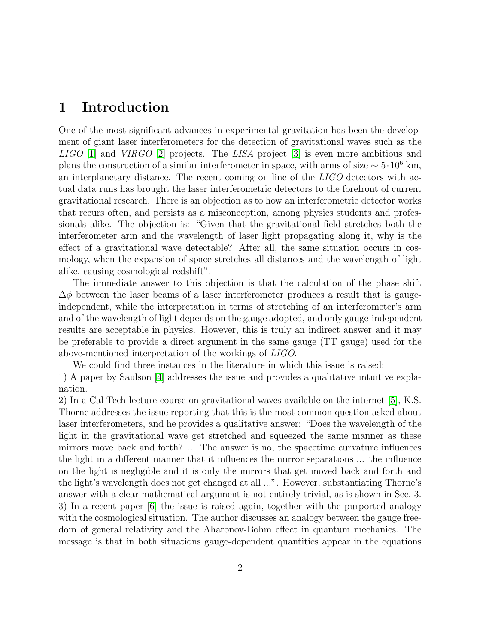### 1 Introduction

One of the most significant advances in experimental gravitation has been the development of giant laser interferometers for the detection of gravitational waves such as the  $LIGO$  [\[1\]](#page-8-0) and  $VIRGO$  [\[2\]](#page-8-1) projects. The LISA project [\[3\]](#page-8-2) is even more ambitious and plans the construction of a similar interferometer in space, with arms of size  $\sim 5 \cdot 10^6$  km, an interplanetary distance. The recent coming on line of the LIGO detectors with actual data runs has brought the laser interferometric detectors to the forefront of current gravitational research. There is an objection as to how an interferometric detector works that recurs often, and persists as a misconception, among physics students and professionals alike. The objection is: "Given that the gravitational field stretches both the interferometer arm and the wavelength of laser light propagating along it, why is the effect of a gravitational wave detectable? After all, the same situation occurs in cosmology, when the expansion of space stretches all distances and the wavelength of light alike, causing cosmological redshift".

The immediate answer to this objection is that the calculation of the phase shift  $\Delta\phi$  between the laser beams of a laser interferometer produces a result that is gaugeindependent, while the interpretation in terms of stretching of an interferometer's arm and of the wavelength of light depends on the gauge adopted, and only gauge-independent results are acceptable in physics. However, this is truly an indirect answer and it may be preferable to provide a direct argument in the same gauge (TT gauge) used for the above-mentioned interpretation of the workings of LIGO.

We could find three instances in the literature in which this issue is raised: 1) A paper by Saulson [\[4\]](#page-8-3) addresses the issue and provides a qualitative intuitive explanation.

2) In a Cal Tech lecture course on gravitational waves available on the internet [\[5\]](#page-8-4), K.S. Thorne addresses the issue reporting that this is the most common question asked about laser interferometers, and he provides a qualitative answer: "Does the wavelength of the light in the gravitational wave get stretched and squeezed the same manner as these mirrors move back and forth? ... The answer is no, the spacetime curvature influences the light in a different manner that it influences the mirror separations ... the influence on the light is negligible and it is only the mirrors that get moved back and forth and the light's wavelength does not get changed at all ...". However, substantiating Thorne's answer with a clear mathematical argument is not entirely trivial, as is shown in Sec. 3. 3) In a recent paper [\[6\]](#page-8-5) the issue is raised again, together with the purported analogy with the cosmological situation. The author discusses an analogy between the gauge freedom of general relativity and the Aharonov-Bohm effect in quantum mechanics. The message is that in both situations gauge-dependent quantities appear in the equations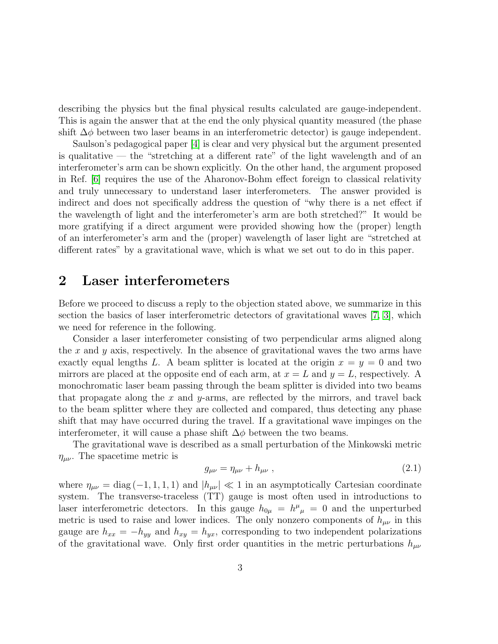describing the physics but the final physical results calculated are gauge-independent. This is again the answer that at the end the only physical quantity measured (the phase shift  $\Delta\phi$  between two laser beams in an interferometric detector) is gauge independent.

Saulson's pedagogical paper [\[4\]](#page-8-3) is clear and very physical but the argument presented is qualitative — the "stretching at a different rate" of the light wavelength and of an interferometer's arm can be shown explicitly. On the other hand, the argument proposed in Ref. [\[6\]](#page-8-5) requires the use of the Aharonov-Bohm effect foreign to classical relativity and truly unnecessary to understand laser interferometers. The answer provided is indirect and does not specifically address the question of "why there is a net effect if the wavelength of light and the interferometer's arm are both stretched?" It would be more gratifying if a direct argument were provided showing how the (proper) length of an interferometer's arm and the (proper) wavelength of laser light are "stretched at different rates" by a gravitational wave, which is what we set out to do in this paper.

### 2 Laser interferometers

Before we proceed to discuss a reply to the objection stated above, we summarize in this section the basics of laser interferometric detectors of gravitational waves [\[7,](#page-8-6) [3\]](#page-8-2), which we need for reference in the following.

Consider a laser interferometer consisting of two perpendicular arms aligned along the x and y axis, respectively. In the absence of gravitational waves the two arms have exactly equal lengths L. A beam splitter is located at the origin  $x = y = 0$  and two mirrors are placed at the opposite end of each arm, at  $x = L$  and  $y = L$ , respectively. A monochromatic laser beam passing through the beam splitter is divided into two beams that propagate along the  $x$  and  $y$ -arms, are reflected by the mirrors, and travel back to the beam splitter where they are collected and compared, thus detecting any phase shift that may have occurred during the travel. If a gravitational wave impinges on the interferometer, it will cause a phase shift  $\Delta \phi$  between the two beams.

The gravitational wave is described as a small perturbation of the Minkowski metric  $\eta_{\mu\nu}$ . The spacetime metric is

$$
g_{\mu\nu} = \eta_{\mu\nu} + h_{\mu\nu} \,, \tag{2.1}
$$

where  $\eta_{\mu\nu} = \text{diag}(-1, 1, 1, 1)$  and  $|h_{\mu\nu}| \ll 1$  in an asymptotically Cartesian coordinate system. The transverse-traceless (TT) gauge is most often used in introductions to laser interferometric detectors. In this gauge  $h_{0\mu} = h^{\mu}{}_{\mu} = 0$  and the unperturbed metric is used to raise and lower indices. The only nonzero components of  $h_{\mu\nu}$  in this gauge are  $h_{xx} = -h_{yy}$  and  $h_{xy} = h_{yx}$ , corresponding to two independent polarizations of the gravitational wave. Only first order quantities in the metric perturbations  $h_{\mu\nu}$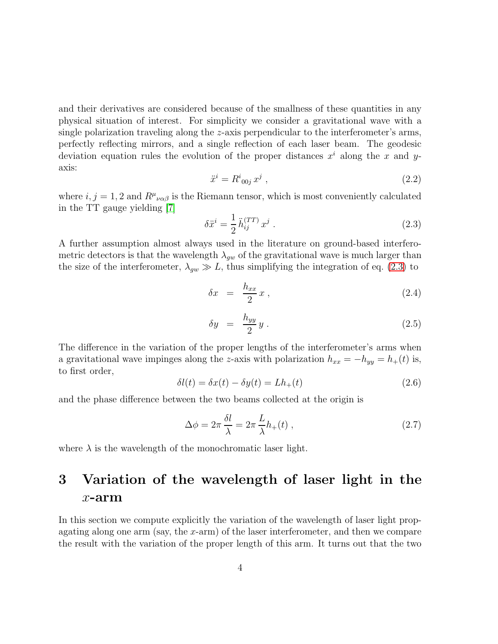and their derivatives are considered because of the smallness of these quantities in any physical situation of interest. For simplicity we consider a gravitational wave with a single polarization traveling along the z-axis perpendicular to the interferometer's arms, perfectly reflecting mirrors, and a single reflection of each laser beam. The geodesic deviation equation rules the evolution of the proper distances  $x^i$  along the x and yaxis:

$$
\ddot{x}^i = R^i_{00j} x^j , \qquad (2.2)
$$

where  $i, j = 1, 2$  and  $R^{\mu}{}_{\nu\alpha\beta}$  is the Riemann tensor, which is most conveniently calculated in the TT gauge yielding [\[7\]](#page-8-6)

<span id="page-3-0"></span>
$$
\delta \ddot{x}^i = \frac{1}{2} \ddot{h}_{ij}^{(TT)} x^j . \tag{2.3}
$$

A further assumption almost always used in the literature on ground-based interferometric detectors is that the wavelength  $\lambda_{qw}$  of the gravitational wave is much larger than the size of the interferometer,  $\lambda_{gw} \gg L$ , thus simplifying the integration of eq. [\(2.3\)](#page-3-0) to

<span id="page-3-1"></span>
$$
\delta x = \frac{h_{xx}}{2} x , \qquad (2.4)
$$

$$
\delta y = \frac{h_{yy}}{2} y \,. \tag{2.5}
$$

The difference in the variation of the proper lengths of the interferometer's arms when a gravitational wave impinges along the z-axis with polarization  $h_{xx} = -h_{yy} = h_{+}(t)$  is, to first order,

$$
\delta l(t) = \delta x(t) - \delta y(t) = L h_+(t) \tag{2.6}
$$

and the phase difference between the two beams collected at the origin is

$$
\Delta \phi = 2\pi \frac{\delta l}{\lambda} = 2\pi \frac{L}{\lambda} h_+(t) , \qquad (2.7)
$$

where  $\lambda$  is the wavelength of the monochromatic laser light.

## 3 Variation of the wavelength of laser light in the  $x$ -arm

In this section we compute explicitly the variation of the wavelength of laser light propagating along one arm (say, the x-arm) of the laser interferometer, and then we compare the result with the variation of the proper length of this arm. It turns out that the two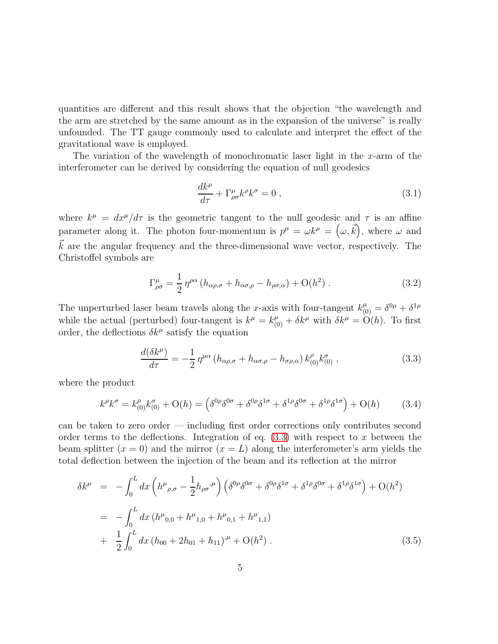quantities are different and this result shows that the objection "the wavelength and the arm are stretched by the same amount as in the expansion of the universe" is really unfounded. The TT gauge commonly used to calculate and interpret the effect of the gravitational wave is employed.

The variation of the wavelength of monochromatic laser light in the x-arm of the interferometer can be derived by considering the equation of null geodesics

$$
\frac{dk^{\mu}}{d\tau} + \Gamma^{\mu}_{\rho\sigma}k^{\rho}k^{\sigma} = 0 , \qquad (3.1)
$$

where  $k^{\mu} = dx^{\mu}/d\tau$  is the geometric tangent to the null geodesic and  $\tau$  is an affine parameter along it. The photon four-momentum is  $p^{\mu} = \omega k^{\mu} = (\omega, \vec{k})$ , where  $\omega$  and  $\vec{k}$  are the angular frequency and the three-dimensional wave vector, respectively. The Christoffel symbols are

$$
\Gamma^{\mu}_{\rho\sigma} = \frac{1}{2} \eta^{\rho\alpha} \left( h_{\alpha\rho,\sigma} + h_{\alpha\sigma,\rho} - h_{\rho\sigma,\alpha} \right) + \mathcal{O}(h^2) \,. \tag{3.2}
$$

The unperturbed laser beam travels along the x-axis with four-tangent  $k_{(0)}^{\mu} = \delta^{0\mu} + \delta^{1\mu}$ while the actual (perturbed) four-tangent is  $k^{\mu} = k^{\mu}_{(0)} + \delta k^{\mu}$  with  $\delta k^{\mu} = \mathcal{O}(h)$ . To first order, the deflections  $\delta k^{\mu}$  satisfy the equation

<span id="page-4-0"></span>
$$
\frac{d(\delta k^{\mu})}{d\tau} = -\frac{1}{2} \eta^{\mu\alpha} \left( h_{\alpha\rho,\sigma} + h_{\alpha\sigma,\rho} - h_{\sigma\rho,\alpha} \right) k^{\rho}_{(0)} k^{\sigma}_{(0)} , \qquad (3.3)
$$

where the product

$$
k^{\rho}k^{\sigma} = k^{\rho}_{(0)}k^{\sigma}_{(0)} + \mathcal{O}(h) = \left(\delta^{0\rho}\delta^{0\sigma} + \delta^{0\rho}\delta^{1\sigma} + \delta^{1\rho}\delta^{0\sigma} + \delta^{1\rho}\delta^{1\sigma}\right) + \mathcal{O}(h) \tag{3.4}
$$

can be taken to zero order — including first order corrections only contributes second order terms to the deflections. Integration of eq.  $(3.3)$  with respect to x between the beam splitter  $(x = 0)$  and the mirror  $(x = L)$  along the interferometer's arm yields the total deflection between the injection of the beam and its reflection at the mirror

<span id="page-4-1"></span>
$$
\delta k^{\mu} = -\int_{0}^{L} dx \left( h^{\mu}{}_{\rho,\sigma} - \frac{1}{2} h_{\rho\sigma}{}^{\mu} \right) \left( \delta^{0\rho} \delta^{0\sigma} + \delta^{0\rho} \delta^{1\sigma} + \delta^{1\rho} \delta^{0\sigma} + \delta^{1\rho} \delta^{1\sigma} \right) + O(h^{2})
$$
  

$$
= -\int_{0}^{L} dx \left( h^{\mu}{}_{0,0} + h^{\mu}{}_{1,0} + h^{\mu}{}_{0,1} + h^{\mu}{}_{1,1} \right)
$$
  

$$
+ \frac{1}{2} \int_{0}^{L} dx \left( h_{00} + 2h_{01} + h_{11} \right)^{\mu} + O(h^{2}) . \tag{3.5}
$$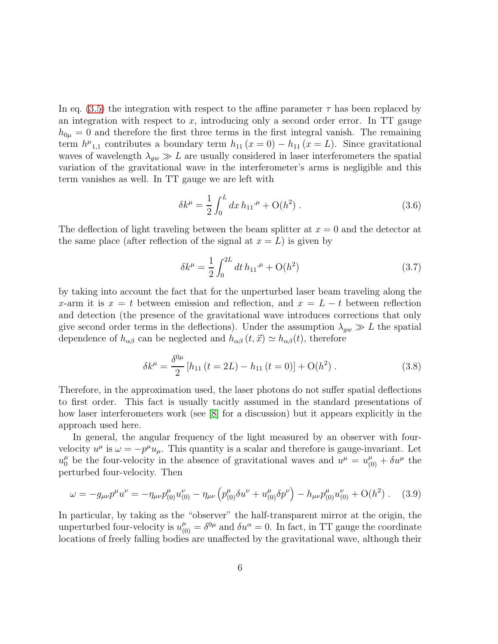In eq. [\(3.5\)](#page-4-1) the integration with respect to the affine parameter  $\tau$  has been replaced by an integration with respect to  $x$ , introducing only a second order error. In TT gauge  $h_{0\mu} = 0$  and therefore the first three terms in the first integral vanish. The remaining term  $h^{\mu}_{1,1}$  contributes a boundary term  $h_{11} (x = 0) - h_{11} (x = L)$ . Since gravitational waves of wavelength  $\lambda_{qw} \gg L$  are usually considered in laser interferometers the spatial variation of the gravitational wave in the interferometer's arms is negligible and this term vanishes as well. In TT gauge we are left with

$$
\delta k^{\mu} = \frac{1}{2} \int_0^L dx \, h_{11}{}^{\mu} + \mathcal{O}(h^2) \,. \tag{3.6}
$$

The deflection of light traveling between the beam splitter at  $x = 0$  and the detector at the same place (after reflection of the signal at  $x = L$ ) is given by

$$
\delta k^{\mu} = \frac{1}{2} \int_0^{2L} dt \, h_{11}{}^{\mu} + \mathcal{O}(h^2)
$$
 (3.7)

by taking into account the fact that for the unperturbed laser beam traveling along the x-arm it is  $x = t$  between emission and reflection, and  $x = L - t$  between reflection and detection (the presence of the gravitational wave introduces corrections that only give second order terms in the deflections). Under the assumption  $\lambda_{gw} \gg L$  the spatial dependence of  $h_{\alpha\beta}$  can be neglected and  $h_{\alpha\beta}(t, \vec{x}) \simeq h_{\alpha\beta}(t)$ , therefore

$$
\delta k^{\mu} = \frac{\delta^{0\mu}}{2} \left[ h_{11} \left( t = 2L \right) - h_{11} \left( t = 0 \right) \right] + \mathcal{O}(h^2) \,. \tag{3.8}
$$

Therefore, in the approximation used, the laser photons do not suffer spatial deflections to first order. This fact is usually tacitly assumed in the standard presentations of how laser interferometers work (see [\[8\]](#page-8-7) for a discussion) but it appears explicitly in the approach used here.

In general, the angular frequency of the light measured by an observer with fourvelocity  $u^{\mu}$  is  $\omega = -p^{\mu}u_{\mu}$ . This quantity is a scalar and therefore is gauge-invariant. Let  $u_0^{\mu}$  be the four-velocity in the absence of gravitational waves and  $u^{\mu} = u_{(0)}^{\mu} + \delta u^{\mu}$  the perturbed four-velocity. Then

$$
\omega = -g_{\mu\nu}p^{\mu}u^{\nu} = -\eta_{\mu\nu}p_{(0)}^{\mu}u_{(0)}^{\nu} - \eta_{\mu\nu}\left(p_{(0)}^{\mu}\delta u^{\nu} + u_{(0)}^{\mu}\delta p^{\nu}\right) - h_{\mu\nu}p_{(0)}^{\mu}u_{(0)}^{\nu} + O(h^2) \ . \tag{3.9}
$$

In particular, by taking as the "observer" the half-transparent mirror at the origin, the unperturbed four-velocity is  $u_{(0)}^{\mu} = \delta^{0\mu}$  and  $\delta u^{\alpha} = 0$ . In fact, in TT gauge the coordinate locations of freely falling bodies are unaffected by the gravitational wave, although their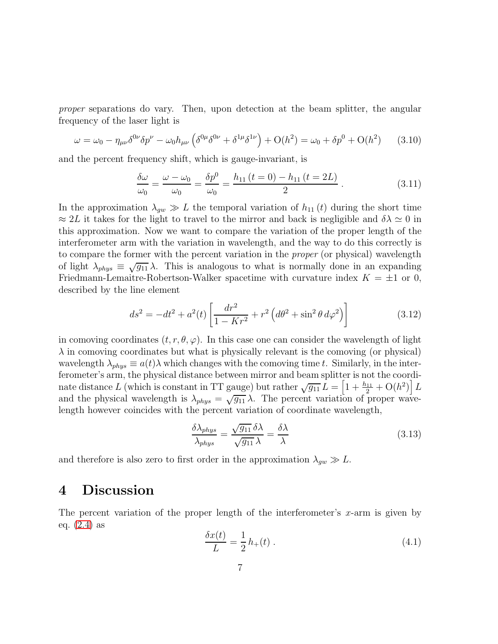proper separations do vary. Then, upon detection at the beam splitter, the angular frequency of the laser light is

$$
\omega = \omega_0 - \eta_{\mu\nu} \delta^{0\nu} \delta p^{\nu} - \omega_0 h_{\mu\nu} \left( \delta^{0\mu} \delta^{0\nu} + \delta^{1\mu} \delta^{1\nu} \right) + O(h^2) = \omega_0 + \delta p^0 + O(h^2) \tag{3.10}
$$

and the percent frequency shift, which is gauge-invariant, is

$$
\frac{\delta\omega}{\omega_0} = \frac{\omega - \omega_0}{\omega_0} = \frac{\delta p^0}{\omega_0} = \frac{h_{11}(t=0) - h_{11}(t=2L)}{2}.
$$
\n(3.11)

In the approximation  $\lambda_{gw} \gg L$  the temporal variation of  $h_{11}(t)$  during the short time  $\approx 2L$  it takes for the light to travel to the mirror and back is negligible and  $\delta \lambda \simeq 0$  in this approximation. Now we want to compare the variation of the proper length of the interferometer arm with the variation in wavelength, and the way to do this correctly is to compare the former with the percent variation in the proper (or physical) wavelength of light  $\lambda_{phys} \equiv \sqrt{g_{11}} \lambda$ . This is analogous to what is normally done in an expanding Friedmann-Lemaitre-Robertson-Walker spacetime with curvature index  $K = \pm 1$  or 0, described by the line element

$$
ds^{2} = -dt^{2} + a^{2}(t) \left[ \frac{dr^{2}}{1 - Kr^{2}} + r^{2} \left( d\theta^{2} + \sin^{2} \theta \, d\varphi^{2} \right) \right]
$$
 (3.12)

in comoving coordinates  $(t, r, \theta, \varphi)$ . In this case one can consider the wavelength of light  $\lambda$  in comoving coordinates but what is physically relevant is the comoving (or physical) wavelength  $\lambda_{phys} \equiv a(t) \lambda$  which changes with the comoving time t. Similarly, in the interferometer's arm, the physical distance between mirror and beam splitter is not the coordinate distance L (which is constant in TT gauge) but rather  $\sqrt{g_{11}} L = \left[1 + \frac{h_{11}}{2} + O(h^2)\right] L$ and the physical wavelength is  $\lambda_{phys} = \sqrt{g_{11}} \lambda$ . The percent variation of proper wavelength however coincides with the percent variation of coordinate wavelength,

$$
\frac{\delta \lambda_{phys}}{\lambda_{phys}} = \frac{\sqrt{g_{11}} \delta \lambda}{\sqrt{g_{11}} \lambda} = \frac{\delta \lambda}{\lambda}
$$
\n(3.13)

and therefore is also zero to first order in the approximation  $\lambda_{gw} \gg L$ .

### 4 Discussion

The percent variation of the proper length of the interferometer's  $x$ -arm is given by eq. [\(2.4\)](#page-3-1) as

$$
\frac{\delta x(t)}{L} = \frac{1}{2} h_+(t) \tag{4.1}
$$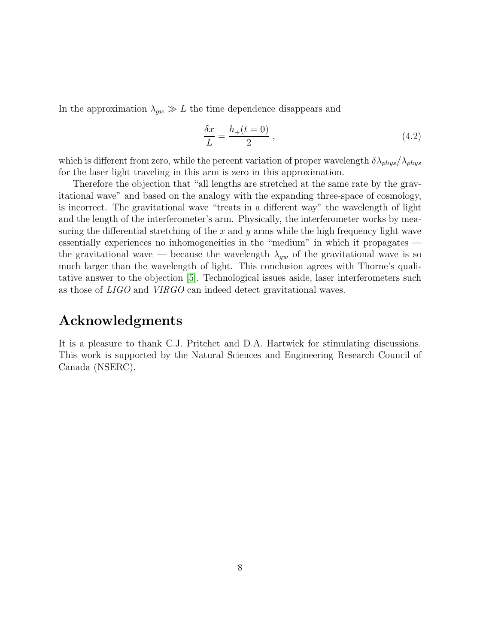In the approximation  $\lambda_{qw} \gg L$  the time dependence disappears and

$$
\frac{\delta x}{L} = \frac{h_+(t=0)}{2} \,,\tag{4.2}
$$

which is different from zero, while the percent variation of proper wavelength  $\delta \lambda_{phys}/\lambda_{phys}$ for the laser light traveling in this arm is zero in this approximation.

Therefore the objection that "all lengths are stretched at the same rate by the gravitational wave" and based on the analogy with the expanding three-space of cosmology, is incorrect. The gravitational wave "treats in a different way" the wavelength of light and the length of the interferometer's arm. Physically, the interferometer works by measuring the differential stretching of the  $x$  and  $y$  arms while the high frequency light wave essentially experiences no inhomogeneities in the "medium" in which it propagates the gravitational wave — because the wavelength  $\lambda_{qw}$  of the gravitational wave is so much larger than the wavelength of light. This conclusion agrees with Thorne's qualitative answer to the objection [\[5\]](#page-8-4). Technological issues aside, laser interferometers such as those of LIGO and VIRGO can indeed detect gravitational waves.

### Acknowledgments

It is a pleasure to thank C.J. Pritchet and D.A. Hartwick for stimulating discussions. This work is supported by the Natural Sciences and Engineering Research Council of Canada (NSERC).